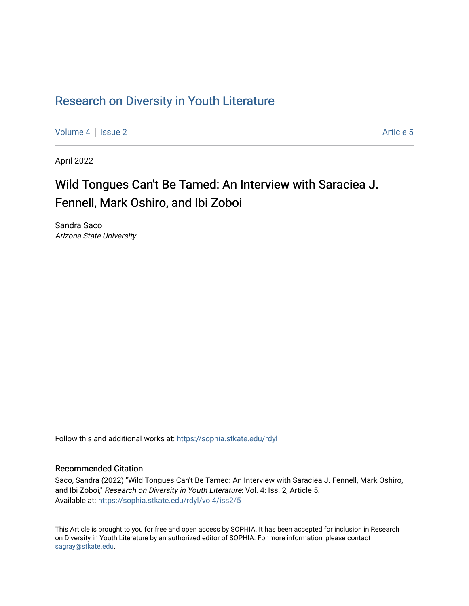## Research on Div[ersity in Youth Liter](https://sophia.stkate.edu/rdyl)ature

[Volume 4](https://sophia.stkate.edu/rdyl/vol4) | [Issue 2](https://sophia.stkate.edu/rdyl/vol4/iss2) Article 5

April 2022

# Wild Tongues Can't Be Tamed: An Interview with Saraciea J. Fennell, Mark Oshiro, and Ibi Zoboi

Sandra Saco Arizona State University

Follow this and additional works at: [https://sophia.stkate.edu/rdyl](https://sophia.stkate.edu/rdyl?utm_source=sophia.stkate.edu%2Frdyl%2Fvol4%2Fiss2%2F5&utm_medium=PDF&utm_campaign=PDFCoverPages) 

#### Recommended Citation

Saco, Sandra (2022) "Wild Tongues Can't Be Tamed: An Interview with Saraciea J. Fennell, Mark Oshiro, and Ibi Zoboi," Research on Diversity in Youth Literature: Vol. 4: Iss. 2, Article 5. Available at: [https://sophia.stkate.edu/rdyl/vol4/iss2/5](https://sophia.stkate.edu/rdyl/vol4/iss2/5?utm_source=sophia.stkate.edu%2Frdyl%2Fvol4%2Fiss2%2F5&utm_medium=PDF&utm_campaign=PDFCoverPages) 

This Article is brought to you for free and open access by SOPHIA. It has been accepted for inclusion in Research on Diversity in Youth Literature by an authorized editor of SOPHIA. For more information, please contact [sagray@stkate.edu.](mailto:sagray@stkate.edu)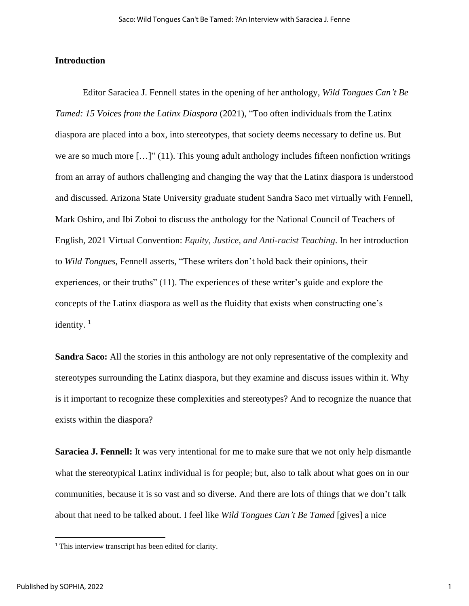#### **Introduction**

Editor Saraciea J. Fennell states in the opening of her anthology, *Wild Tongues Can't Be Tamed: 15 Voices from the Latinx Diaspora* (2021), "Too often individuals from the Latinx diaspora are placed into a box, into stereotypes, that society deems necessary to define us. But we are so much more  $[\ldots]$ " (11). This young adult anthology includes fifteen nonfiction writings from an array of authors challenging and changing the way that the Latinx diaspora is understood and discussed. Arizona State University graduate student Sandra Saco met virtually with Fennell, Mark Oshiro, and Ibi Zoboi to discuss the anthology for the National Council of Teachers of English, 2021 Virtual Convention: *Equity, Justice, and Anti-racist Teaching*. In her introduction to *Wild Tongues*, Fennell asserts, "These writers don't hold back their opinions, their experiences, or their truths" (11). The experiences of these writer's guide and explore the concepts of the Latinx diaspora as well as the fluidity that exists when constructing one's identity. $1$ 

**Sandra Saco:** All the stories in this anthology are not only representative of the complexity and stereotypes surrounding the Latinx diaspora, but they examine and discuss issues within it. Why is it important to recognize these complexities and stereotypes? And to recognize the nuance that exists within the diaspora?

**Saraciea J. Fennell:** It was very intentional for me to make sure that we not only help dismantle what the stereotypical Latinx individual is for people; but, also to talk about what goes on in our communities, because it is so vast and so diverse. And there are lots of things that we don't talk about that need to be talked about. I feel like *Wild Tongues Can't Be Tamed* [gives] a nice

<sup>&</sup>lt;sup>1</sup> This interview transcript has been edited for clarity.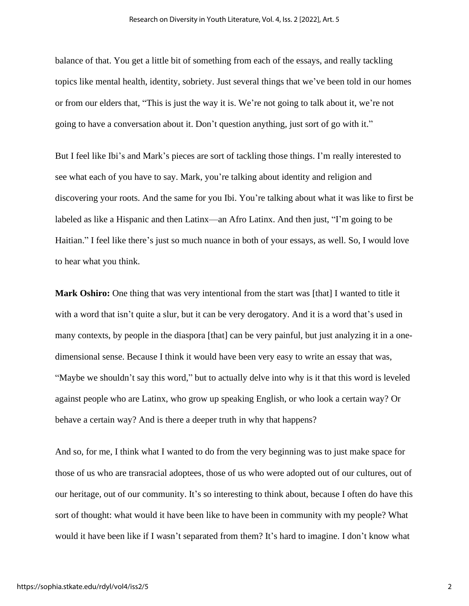balance of that. You get a little bit of something from each of the essays, and really tackling topics like mental health, identity, sobriety. Just several things that we've been told in our homes or from our elders that, "This is just the way it is. We're not going to talk about it, we're not going to have a conversation about it. Don't question anything, just sort of go with it."

But I feel like Ibi's and Mark's pieces are sort of tackling those things. I'm really interested to see what each of you have to say. Mark, you're talking about identity and religion and discovering your roots. And the same for you Ibi. You're talking about what it was like to first be labeled as like a Hispanic and then Latinx—an Afro Latinx. And then just, "I'm going to be Haitian." I feel like there's just so much nuance in both of your essays, as well. So, I would love to hear what you think.

**Mark Oshiro:** One thing that was very intentional from the start was [that] I wanted to title it with a word that isn't quite a slur, but it can be very derogatory. And it is a word that's used in many contexts, by people in the diaspora [that] can be very painful, but just analyzing it in a onedimensional sense. Because I think it would have been very easy to write an essay that was, "Maybe we shouldn't say this word," but to actually delve into why is it that this word is leveled against people who are Latinx, who grow up speaking English, or who look a certain way? Or behave a certain way? And is there a deeper truth in why that happens?

And so, for me, I think what I wanted to do from the very beginning was to just make space for those of us who are transracial adoptees, those of us who were adopted out of our cultures, out of our heritage, out of our community. It's so interesting to think about, because I often do have this sort of thought: what would it have been like to have been in community with my people? What would it have been like if I wasn't separated from them? It's hard to imagine. I don't know what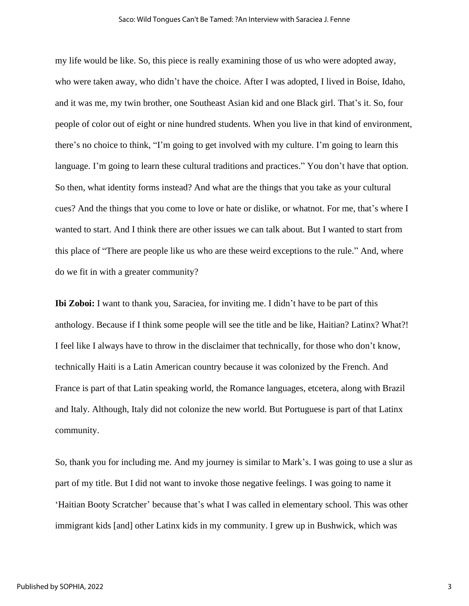#### Saco: Wild Tongues Can't Be Tamed: ?An Interview with Saraciea J. Fenne

my life would be like. So, this piece is really examining those of us who were adopted away, who were taken away, who didn't have the choice. After I was adopted, I lived in Boise, Idaho, and it was me, my twin brother, one Southeast Asian kid and one Black girl. That's it. So, four people of color out of eight or nine hundred students. When you live in that kind of environment, there's no choice to think, "I'm going to get involved with my culture. I'm going to learn this language. I'm going to learn these cultural traditions and practices." You don't have that option. So then, what identity forms instead? And what are the things that you take as your cultural cues? And the things that you come to love or hate or dislike, or whatnot. For me, that's where I wanted to start. And I think there are other issues we can talk about. But I wanted to start from this place of "There are people like us who are these weird exceptions to the rule." And, where do we fit in with a greater community?

**Ibi Zoboi:** I want to thank you, Saraciea, for inviting me. I didn't have to be part of this anthology. Because if I think some people will see the title and be like, Haitian? Latinx? What?! I feel like I always have to throw in the disclaimer that technically, for those who don't know, technically Haiti is a Latin American country because it was colonized by the French. And France is part of that Latin speaking world, the Romance languages, etcetera, along with Brazil and Italy. Although, Italy did not colonize the new world. But Portuguese is part of that Latinx community.

So, thank you for including me. And my journey is similar to Mark's. I was going to use a slur as part of my title. But I did not want to invoke those negative feelings. I was going to name it 'Haitian Booty Scratcher' because that's what I was called in elementary school. This was other immigrant kids [and] other Latinx kids in my community. I grew up in Bushwick, which was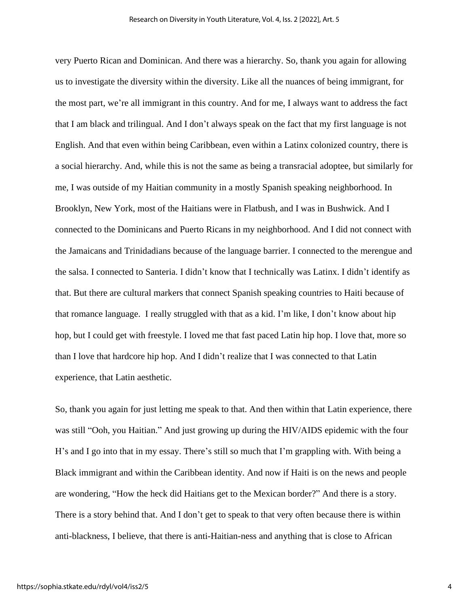very Puerto Rican and Dominican. And there was a hierarchy. So, thank you again for allowing us to investigate the diversity within the diversity. Like all the nuances of being immigrant, for the most part, we're all immigrant in this country. And for me, I always want to address the fact that I am black and trilingual. And I don't always speak on the fact that my first language is not English. And that even within being Caribbean, even within a Latinx colonized country, there is a social hierarchy. And, while this is not the same as being a transracial adoptee, but similarly for me, I was outside of my Haitian community in a mostly Spanish speaking neighborhood. In Brooklyn, New York, most of the Haitians were in Flatbush, and I was in Bushwick. And I connected to the Dominicans and Puerto Ricans in my neighborhood. And I did not connect with the Jamaicans and Trinidadians because of the language barrier. I connected to the merengue and the salsa. I connected to Santeria. I didn't know that I technically was Latinx. I didn't identify as that. But there are cultural markers that connect Spanish speaking countries to Haiti because of that romance language. I really struggled with that as a kid. I'm like, I don't know about hip hop, but I could get with freestyle. I loved me that fast paced Latin hip hop. I love that, more so than I love that hardcore hip hop. And I didn't realize that I was connected to that Latin experience, that Latin aesthetic.

So, thank you again for just letting me speak to that. And then within that Latin experience, there was still "Ooh, you Haitian." And just growing up during the HIV/AIDS epidemic with the four H's and I go into that in my essay. There's still so much that I'm grappling with. With being a Black immigrant and within the Caribbean identity. And now if Haiti is on the news and people are wondering, "How the heck did Haitians get to the Mexican border?" And there is a story. There is a story behind that. And I don't get to speak to that very often because there is within anti-blackness, I believe, that there is anti-Haitian-ness and anything that is close to African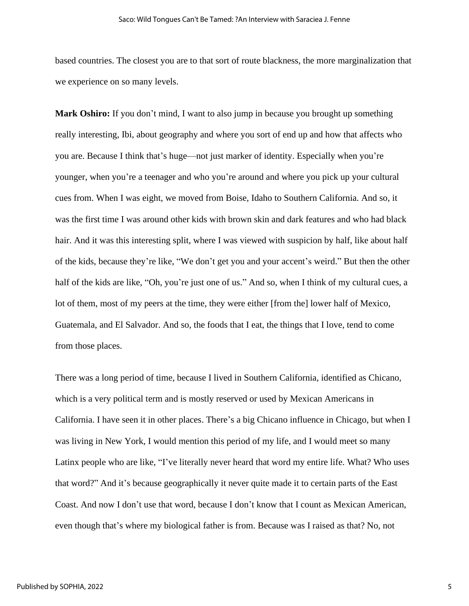based countries. The closest you are to that sort of route blackness, the more marginalization that we experience on so many levels.

**Mark Oshiro:** If you don't mind, I want to also jump in because you brought up something really interesting, Ibi, about geography and where you sort of end up and how that affects who you are. Because I think that's huge—not just marker of identity. Especially when you're younger, when you're a teenager and who you're around and where you pick up your cultural cues from. When I was eight, we moved from Boise, Idaho to Southern California. And so, it was the first time I was around other kids with brown skin and dark features and who had black hair. And it was this interesting split, where I was viewed with suspicion by half, like about half of the kids, because they're like, "We don't get you and your accent's weird." But then the other half of the kids are like, "Oh, you're just one of us." And so, when I think of my cultural cues, a lot of them, most of my peers at the time, they were either [from the] lower half of Mexico, Guatemala, and El Salvador. And so, the foods that I eat, the things that I love, tend to come from those places.

There was a long period of time, because I lived in Southern California, identified as Chicano, which is a very political term and is mostly reserved or used by Mexican Americans in California. I have seen it in other places. There's a big Chicano influence in Chicago, but when I was living in New York, I would mention this period of my life, and I would meet so many Latinx people who are like, "I've literally never heard that word my entire life. What? Who uses that word?" And it's because geographically it never quite made it to certain parts of the East Coast. And now I don't use that word, because I don't know that I count as Mexican American, even though that's where my biological father is from. Because was I raised as that? No, not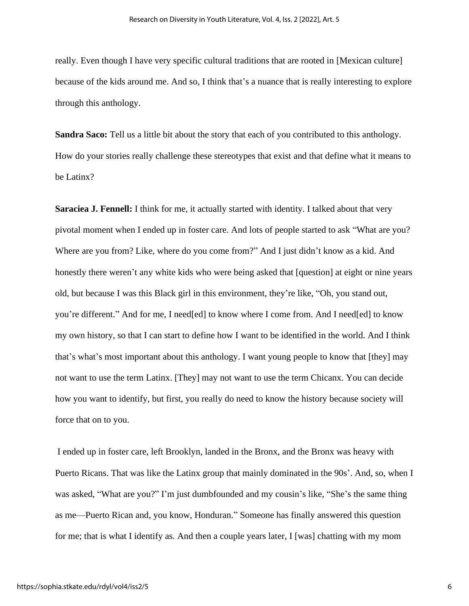really. Even though I have very specific cultural traditions that are rooted in [Mexican culture] because of the kids around me. And so, I think that's a nuance that is really interesting to explore through this anthology.

**Sandra Saco:** Tell us a little bit about the story that each of you contributed to this anthology. How do your stories really challenge these stereotypes that exist and that define what it means to be Latinx?

**Saraciea J. Fennell:** I think for me, it actually started with identity. I talked about that very pivotal moment when I ended up in foster care. And lots of people started to ask "What are you? Where are you from? Like, where do you come from?" And I just didn't know as a kid. And honestly there weren't any white kids who were being asked that [question] at eight or nine years old, but because I was this Black girl in this environment, they're like, "Oh, you stand out, you're different." And for me, I need[ed] to know where I come from. And I need[ed] to know my own history, so that I can start to define how I want to be identified in the world. And I think that's what's most important about this anthology. I want young people to know that [they] may not want to use the term Latinx. [They] may not want to use the term Chicanx. You can decide how you want to identify, but first, you really do need to know the history because society will force that on to you.

I ended up in foster care, left Brooklyn, landed in the Bronx, and the Bronx was heavy with Puerto Ricans. That was like the Latinx group that mainly dominated in the 90s'. And, so, when I was asked, "What are you?" I'm just dumbfounded and my cousin's like, "She's the same thing as me—Puerto Rican and, you know, Honduran." Someone has finally answered this question for me; that is what I identify as. And then a couple years later, I [was] chatting with my mom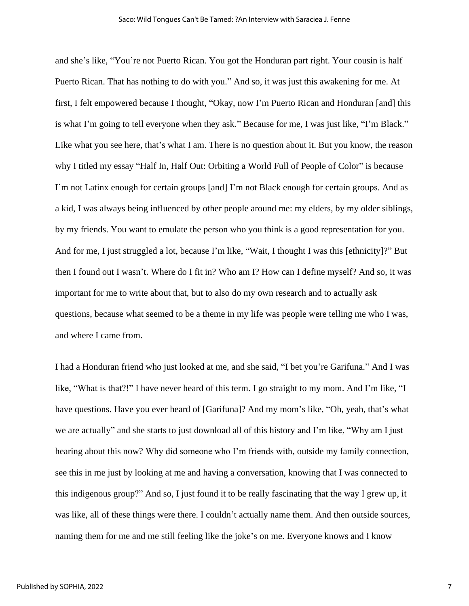and she's like, "You're not Puerto Rican. You got the Honduran part right. Your cousin is half Puerto Rican. That has nothing to do with you." And so, it was just this awakening for me. At first, I felt empowered because I thought, "Okay, now I'm Puerto Rican and Honduran [and] this is what I'm going to tell everyone when they ask." Because for me, I was just like, "I'm Black." Like what you see here, that's what I am. There is no question about it. But you know, the reason why I titled my essay "Half In, Half Out: Orbiting a World Full of People of Color" is because I'm not Latinx enough for certain groups [and] I'm not Black enough for certain groups. And as a kid, I was always being influenced by other people around me: my elders, by my older siblings, by my friends. You want to emulate the person who you think is a good representation for you. And for me, I just struggled a lot, because I'm like, "Wait, I thought I was this [ethnicity]?" But then I found out I wasn't. Where do I fit in? Who am I? How can I define myself? And so, it was important for me to write about that, but to also do my own research and to actually ask questions, because what seemed to be a theme in my life was people were telling me who I was, and where I came from.

I had a Honduran friend who just looked at me, and she said, "I bet you're Garifuna." And I was like, "What is that?!" I have never heard of this term. I go straight to my mom. And I'm like, "I have questions. Have you ever heard of [Garifuna]? And my mom's like, "Oh, yeah, that's what we are actually" and she starts to just download all of this history and I'm like, "Why am I just hearing about this now? Why did someone who I'm friends with, outside my family connection, see this in me just by looking at me and having a conversation, knowing that I was connected to this indigenous group?" And so, I just found it to be really fascinating that the way I grew up, it was like, all of these things were there. I couldn't actually name them. And then outside sources, naming them for me and me still feeling like the joke's on me. Everyone knows and I know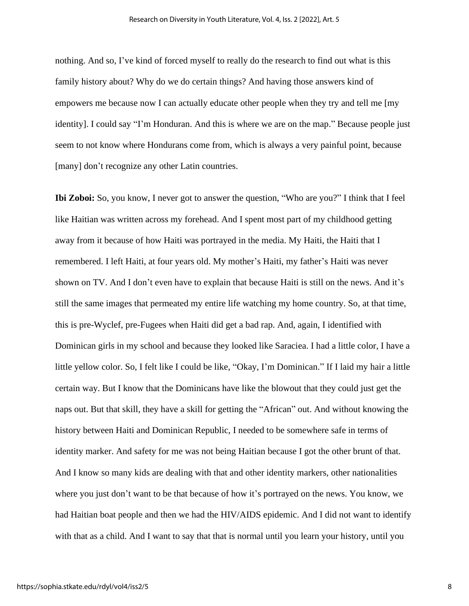nothing. And so, I've kind of forced myself to really do the research to find out what is this family history about? Why do we do certain things? And having those answers kind of empowers me because now I can actually educate other people when they try and tell me [my identity]. I could say "I'm Honduran. And this is where we are on the map." Because people just seem to not know where Hondurans come from, which is always a very painful point, because [many] don't recognize any other Latin countries.

**Ibi Zoboi:** So, you know, I never got to answer the question, "Who are you?" I think that I feel like Haitian was written across my forehead. And I spent most part of my childhood getting away from it because of how Haiti was portrayed in the media. My Haiti, the Haiti that I remembered. I left Haiti, at four years old. My mother's Haiti, my father's Haiti was never shown on TV. And I don't even have to explain that because Haiti is still on the news. And it's still the same images that permeated my entire life watching my home country. So, at that time, this is pre-Wyclef, pre-Fugees when Haiti did get a bad rap. And, again, I identified with Dominican girls in my school and because they looked like Saraciea. I had a little color, I have a little yellow color. So, I felt like I could be like, "Okay, I'm Dominican." If I laid my hair a little certain way. But I know that the Dominicans have like the blowout that they could just get the naps out. But that skill, they have a skill for getting the "African" out. And without knowing the history between Haiti and Dominican Republic, I needed to be somewhere safe in terms of identity marker. And safety for me was not being Haitian because I got the other brunt of that. And I know so many kids are dealing with that and other identity markers, other nationalities where you just don't want to be that because of how it's portrayed on the news. You know, we had Haitian boat people and then we had the HIV/AIDS epidemic. And I did not want to identify with that as a child. And I want to say that that is normal until you learn your history, until you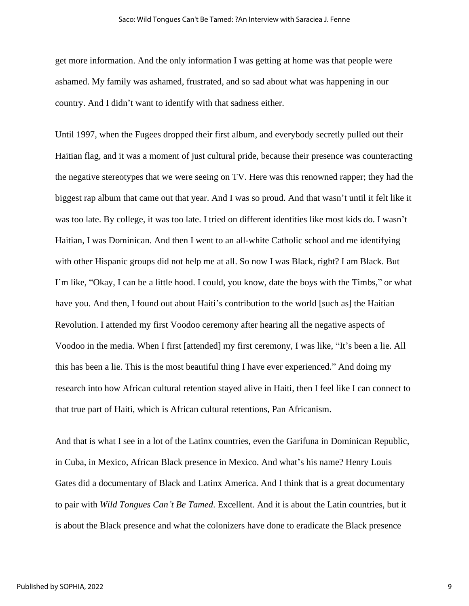get more information. And the only information I was getting at home was that people were ashamed. My family was ashamed, frustrated, and so sad about what was happening in our country. And I didn't want to identify with that sadness either.

Until 1997, when the Fugees dropped their first album, and everybody secretly pulled out their Haitian flag, and it was a moment of just cultural pride, because their presence was counteracting the negative stereotypes that we were seeing on TV. Here was this renowned rapper; they had the biggest rap album that came out that year. And I was so proud. And that wasn't until it felt like it was too late. By college, it was too late. I tried on different identities like most kids do. I wasn't Haitian, I was Dominican. And then I went to an all-white Catholic school and me identifying with other Hispanic groups did not help me at all. So now I was Black, right? I am Black. But I'm like, "Okay, I can be a little hood. I could, you know, date the boys with the Timbs," or what have you. And then, I found out about Haiti's contribution to the world [such as] the Haitian Revolution. I attended my first Voodoo ceremony after hearing all the negative aspects of Voodoo in the media. When I first [attended] my first ceremony, I was like, "It's been a lie. All this has been a lie. This is the most beautiful thing I have ever experienced." And doing my research into how African cultural retention stayed alive in Haiti, then I feel like I can connect to that true part of Haiti, which is African cultural retentions, Pan Africanism.

And that is what I see in a lot of the Latinx countries, even the Garifuna in Dominican Republic, in Cuba, in Mexico, African Black presence in Mexico. And what's his name? Henry Louis Gates did a documentary of Black and Latinx America. And I think that is a great documentary to pair with *Wild Tongues Can't Be Tamed*. Excellent. And it is about the Latin countries, but it is about the Black presence and what the colonizers have done to eradicate the Black presence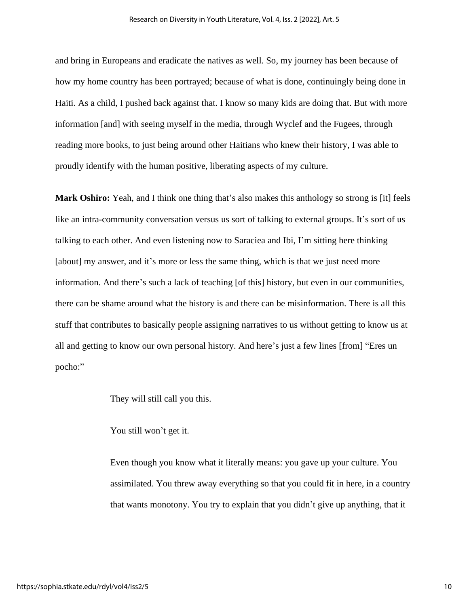and bring in Europeans and eradicate the natives as well. So, my journey has been because of how my home country has been portrayed; because of what is done, continuingly being done in Haiti. As a child, I pushed back against that. I know so many kids are doing that. But with more information [and] with seeing myself in the media, through Wyclef and the Fugees, through reading more books, to just being around other Haitians who knew their history, I was able to proudly identify with the human positive, liberating aspects of my culture.

**Mark Oshiro:** Yeah, and I think one thing that's also makes this anthology so strong is [it] feels like an intra-community conversation versus us sort of talking to external groups. It's sort of us talking to each other. And even listening now to Saraciea and Ibi, I'm sitting here thinking [about] my answer, and it's more or less the same thing, which is that we just need more information. And there's such a lack of teaching [of this] history, but even in our communities, there can be shame around what the history is and there can be misinformation. There is all this stuff that contributes to basically people assigning narratives to us without getting to know us at all and getting to know our own personal history. And here's just a few lines [from] "Eres un pocho:"

They will still call you this.

You still won't get it.

Even though you know what it literally means: you gave up your culture. You assimilated. You threw away everything so that you could fit in here, in a country that wants monotony. You try to explain that you didn't give up anything, that it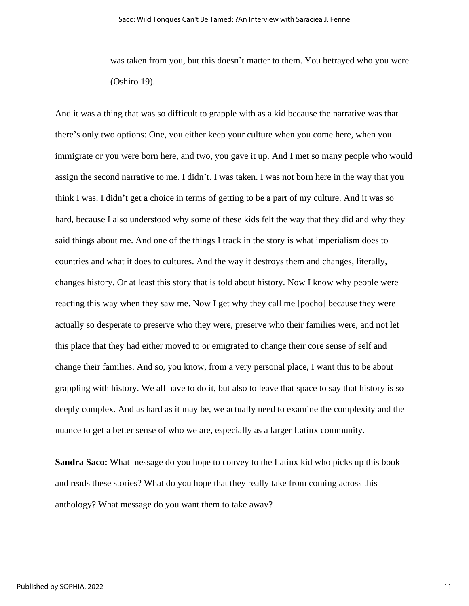was taken from you, but this doesn't matter to them. You betrayed who you were. (Oshiro 19).

And it was a thing that was so difficult to grapple with as a kid because the narrative was that there's only two options: One, you either keep your culture when you come here, when you immigrate or you were born here, and two, you gave it up. And I met so many people who would assign the second narrative to me. I didn't. I was taken. I was not born here in the way that you think I was. I didn't get a choice in terms of getting to be a part of my culture. And it was so hard, because I also understood why some of these kids felt the way that they did and why they said things about me. And one of the things I track in the story is what imperialism does to countries and what it does to cultures. And the way it destroys them and changes, literally, changes history. Or at least this story that is told about history. Now I know why people were reacting this way when they saw me. Now I get why they call me [pocho] because they were actually so desperate to preserve who they were, preserve who their families were, and not let this place that they had either moved to or emigrated to change their core sense of self and change their families. And so, you know, from a very personal place, I want this to be about grappling with history. We all have to do it, but also to leave that space to say that history is so deeply complex. And as hard as it may be, we actually need to examine the complexity and the nuance to get a better sense of who we are, especially as a larger Latinx community.

**Sandra Saco:** What message do you hope to convey to the Latinx kid who picks up this book and reads these stories? What do you hope that they really take from coming across this anthology? What message do you want them to take away?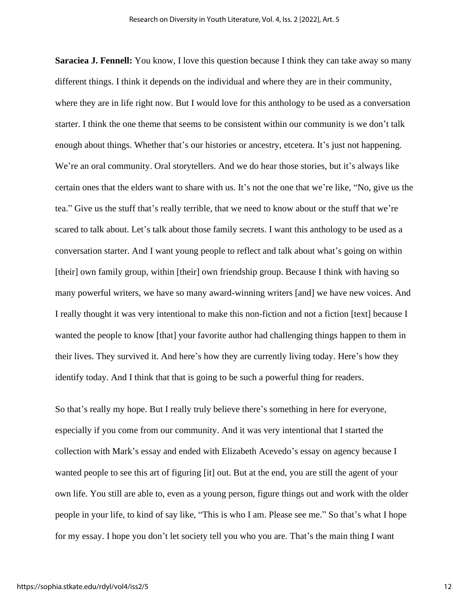**Saraciea J. Fennell:** You know, I love this question because I think they can take away so many different things. I think it depends on the individual and where they are in their community, where they are in life right now. But I would love for this anthology to be used as a conversation starter. I think the one theme that seems to be consistent within our community is we don't talk enough about things. Whether that's our histories or ancestry, etcetera. It's just not happening. We're an oral community. Oral storytellers. And we do hear those stories, but it's always like certain ones that the elders want to share with us. It's not the one that we're like, "No, give us the tea." Give us the stuff that's really terrible, that we need to know about or the stuff that we're scared to talk about. Let's talk about those family secrets. I want this anthology to be used as a conversation starter. And I want young people to reflect and talk about what's going on within [their] own family group, within [their] own friendship group. Because I think with having so many powerful writers, we have so many award-winning writers [and] we have new voices. And I really thought it was very intentional to make this non-fiction and not a fiction [text] because I wanted the people to know [that] your favorite author had challenging things happen to them in their lives. They survived it. And here's how they are currently living today. Here's how they identify today. And I think that that is going to be such a powerful thing for readers.

So that's really my hope. But I really truly believe there's something in here for everyone, especially if you come from our community. And it was very intentional that I started the collection with Mark's essay and ended with Elizabeth Acevedo's essay on agency because I wanted people to see this art of figuring [it] out. But at the end, you are still the agent of your own life. You still are able to, even as a young person, figure things out and work with the older people in your life, to kind of say like, "This is who I am. Please see me." So that's what I hope for my essay. I hope you don't let society tell you who you are. That's the main thing I want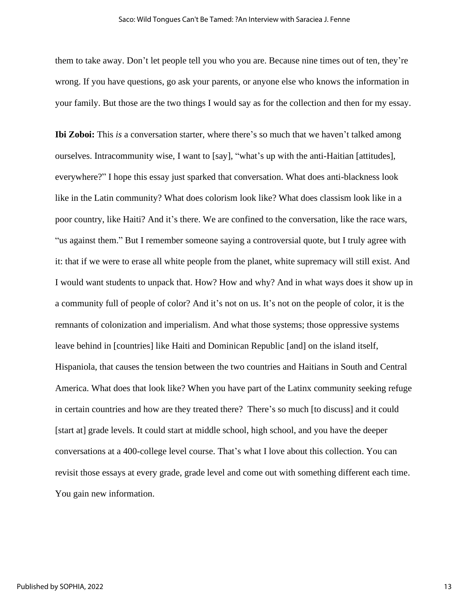them to take away. Don't let people tell you who you are. Because nine times out of ten, they're wrong. If you have questions, go ask your parents, or anyone else who knows the information in your family. But those are the two things I would say as for the collection and then for my essay.

**Ibi Zoboi:** This *is* a conversation starter, where there's so much that we haven't talked among ourselves. Intracommunity wise, I want to [say], "what's up with the anti-Haitian [attitudes], everywhere?" I hope this essay just sparked that conversation. What does anti-blackness look like in the Latin community? What does colorism look like? What does classism look like in a poor country, like Haiti? And it's there. We are confined to the conversation, like the race wars, "us against them." But I remember someone saying a controversial quote, but I truly agree with it: that if we were to erase all white people from the planet, white supremacy will still exist. And I would want students to unpack that. How? How and why? And in what ways does it show up in a community full of people of color? And it's not on us. It's not on the people of color, it is the remnants of colonization and imperialism. And what those systems; those oppressive systems leave behind in [countries] like Haiti and Dominican Republic [and] on the island itself, Hispaniola, that causes the tension between the two countries and Haitians in South and Central America. What does that look like? When you have part of the Latinx community seeking refuge in certain countries and how are they treated there? There's so much [to discuss] and it could [start at] grade levels. It could start at middle school, high school, and you have the deeper conversations at a 400-college level course. That's what I love about this collection. You can revisit those essays at every grade, grade level and come out with something different each time. You gain new information.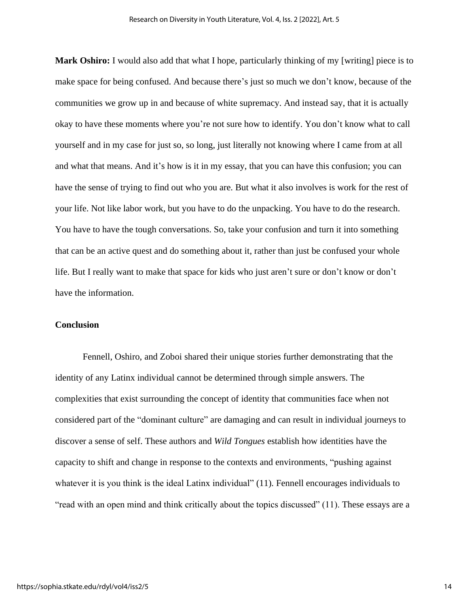**Mark Oshiro:** I would also add that what I hope, particularly thinking of my [writing] piece is to make space for being confused. And because there's just so much we don't know, because of the communities we grow up in and because of white supremacy. And instead say, that it is actually okay to have these moments where you're not sure how to identify. You don't know what to call yourself and in my case for just so, so long, just literally not knowing where I came from at all and what that means. And it's how is it in my essay, that you can have this confusion; you can have the sense of trying to find out who you are. But what it also involves is work for the rest of your life. Not like labor work, but you have to do the unpacking. You have to do the research. You have to have the tough conversations. So, take your confusion and turn it into something that can be an active quest and do something about it, rather than just be confused your whole life. But I really want to make that space for kids who just aren't sure or don't know or don't have the information.

#### **Conclusion**

Fennell, Oshiro, and Zoboi shared their unique stories further demonstrating that the identity of any Latinx individual cannot be determined through simple answers. The complexities that exist surrounding the concept of identity that communities face when not considered part of the "dominant culture" are damaging and can result in individual journeys to discover a sense of self. These authors and *Wild Tongues* establish how identities have the capacity to shift and change in response to the contexts and environments, "pushing against whatever it is you think is the ideal Latinx individual" (11). Fennell encourages individuals to "read with an open mind and think critically about the topics discussed" (11). These essays are a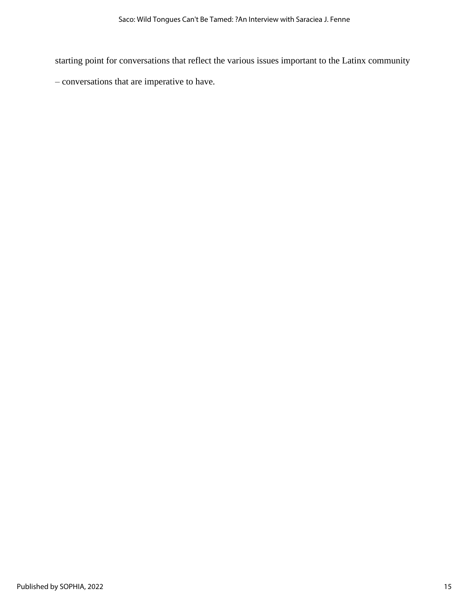starting point for conversations that reflect the various issues important to the Latinx community

– conversations that are imperative to have.